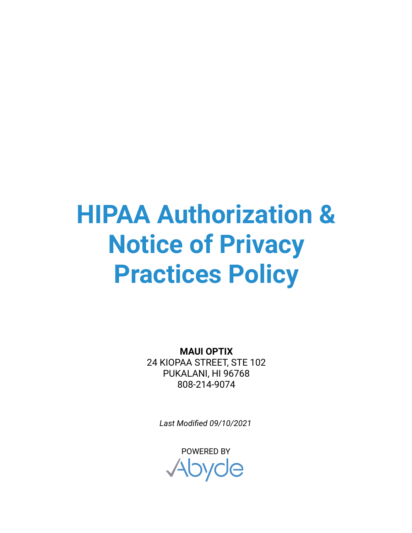## **HIPAA Authorization & Notice of Privacy Practices Policy**

**MAUI OPTIX** 24 KIOPAA STREET, STE 102 PUKALANI, HI 96768 808-214-9074

*Last Modified 09/10/2021*

POWERED BYAbyde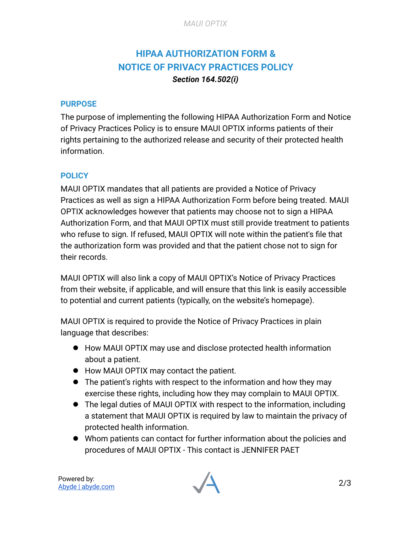## **HIPAA AUTHORIZATION FORM & NOTICE OF PRIVACY PRACTICES POLICY** *Section 164.502(i)*

## **PURPOSE**

The purpose of implementing the following HIPAA Authorization Form and Notice of Privacy Practices Policy is to ensure MAUI OPTIX informs patients of their rights pertaining to the authorized release and security of their protected health information.

## **POLICY**

MAUI OPTIX mandates that all patients are provided a Notice of Privacy Practices as well as sign a HIPAA Authorization Form before being treated. MAUI OPTIX acknowledges however that patients may choose not to sign a HIPAA Authorization Form, and that MAUI OPTIX must still provide treatment to patients who refuse to sign. If refused, MAUI OPTIX will note within the patient's file that the authorization form was provided and that the patient chose not to sign for their records.

MAUI OPTIX will also link a copy of MAUI OPTIX's Notice of Privacy Practices from their website, if applicable, and will ensure that this link is easily accessible to potential and current patients (typically, on the website's homepage).

MAUI OPTIX is required to provide the Notice of Privacy Practices in plain language that describes:

- How MAUI OPTIX may use and disclose protected health information about a patient.
- How MAUI OPTIX may contact the patient.
- The patient's rights with respect to the information and how they may exercise these rights, including how they may complain to MAUI OPTIX.
- The legal duties of MAUI OPTIX with respect to the information, including a statement that MAUI OPTIX is required by law to maintain the privacy of protected health information.
- Whom patients can contact for further information about the policies and procedures of MAUI OPTIX - This contact is JENNIFER PAET

Powered by: [Abyde | abyde.com](https://abyde.com/)